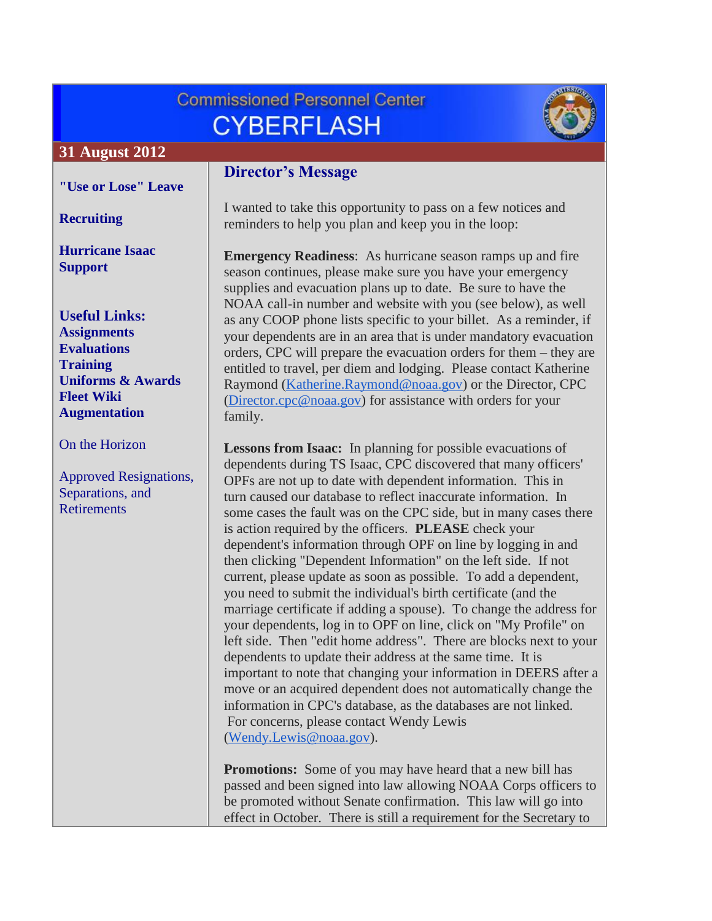# **Commissioned Personnel Center CYBERFLASH**



## **31 August 2012**

**["Use or Lose" Leave](#page-1-0)**

**[Recruiting](#page-2-0)**

**[Hurricane Isaac](#page-2-1)  [Support](#page-2-1)**

**Useful Links: [Assignments](http://www.corpscpc.noaa.gov/careermgmt/assignments.html) [Evaluations](http://www.corpscpc.noaa.gov/careermgmt/evaluation.html) [Training](http://www.corpscpc.noaa.gov/careermgmt/training.html) [Uniforms & Awards](http://www.corpscpc.noaa.gov/perservices/awards.html) [Fleet Wiki](https://www.st.nmfs.noaa.gov/confluence/display/FleetWiki/Home) [Augmentation](http://www.moc.noaa.gov/augmentation-2.html)**

[On the Horizon](#page-2-1)

[Approved Resignations,](#page-2-1)  [Separations, and](#page-2-1)  **[Retirements](#page-2-1)** 

## **Director's Message**

I wanted to take this opportunity to pass on a few notices and reminders to help you plan and keep you in the loop:

**Emergency Readiness**: As hurricane season ramps up and fire season continues, please make sure you have your emergency supplies and evacuation plans up to date. Be sure to have the NOAA call-in number and website with you (see below), as well as any COOP phone lists specific to your billet. As a reminder, if your dependents are in an area that is under mandatory evacuation orders, CPC will prepare the evacuation orders for them – they are entitled to travel, per diem and lodging. Please contact Katherine Raymond [\(Katherine.Raymond@noaa.gov\)](mailto:Katherine.Raymond@noaa.gov) or the Director, CPC [\(Director.cpc@noaa.gov\)](mailto:Director.cpc@noaa.gov) for assistance with orders for your family.

**Lessons from Isaac:** In planning for possible evacuations of dependents during TS Isaac, CPC discovered that many officers' OPFs are not up to date with dependent information. This in turn caused our database to reflect inaccurate information. In some cases the fault was on the CPC side, but in many cases there is action required by the officers. **PLEASE** check your dependent's information through OPF on line by logging in and then clicking "Dependent Information" on the left side. If not current, please update as soon as possible. To add a dependent, you need to submit the individual's birth certificate (and the marriage certificate if adding a spouse). To change the address for your dependents, log in to OPF on line, click on "My Profile" on left side. Then "edit home address". There are blocks next to your dependents to update their address at the same time. It is important to note that changing your information in DEERS after a move or an acquired dependent does not automatically change the information in CPC's database, as the databases are not linked. For concerns, please contact Wendy Lewis [\(Wendy.Lewis@noaa.gov\)](mailto:Wendy.Lewis@noaa.gov).

**Promotions:** Some of you may have heard that a new bill has passed and been signed into law allowing NOAA Corps officers to be promoted without Senate confirmation. This law will go into effect in October. There is still a requirement for the Secretary to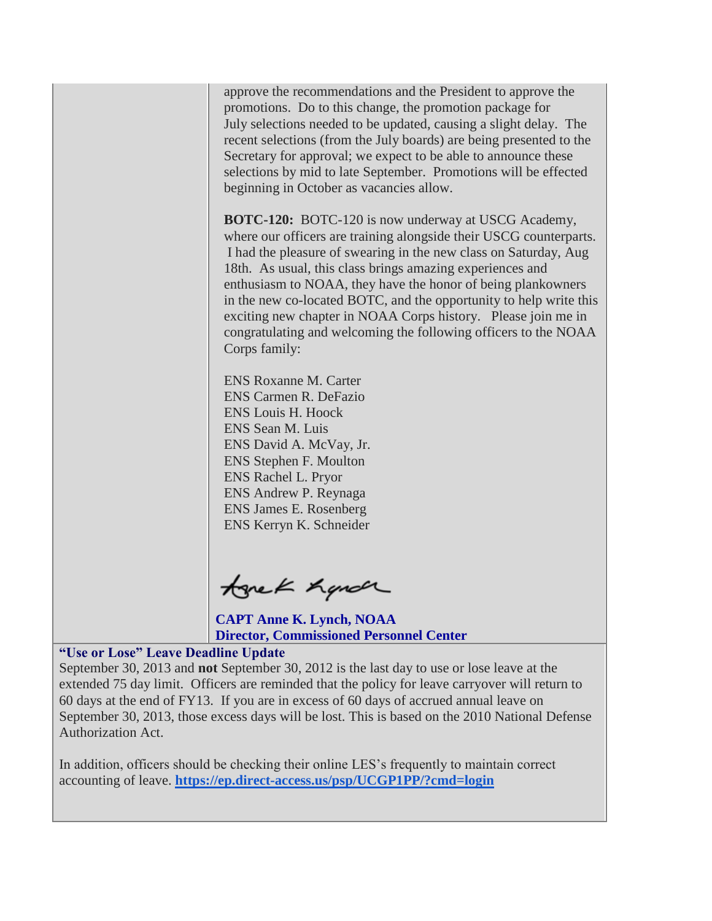approve the recommendations and the President to approve the promotions. Do to this change, the promotion package for July selections needed to be updated, causing a slight delay. The recent selections (from the July boards) are being presented to the Secretary for approval; we expect to be able to announce these selections by mid to late September. Promotions will be effected beginning in October as vacancies allow.

**BOTC-120:** BOTC-120 is now underway at USCG Academy, where our officers are training alongside their USCG counterparts. I had the pleasure of swearing in the new class on Saturday, Aug 18th. As usual, this class brings amazing experiences and enthusiasm to NOAA, they have the honor of being plankowners in the new co-located BOTC, and the opportunity to help write this exciting new chapter in NOAA Corps history. Please join me in congratulating and welcoming the following officers to the NOAA Corps family:

ENS Roxanne M. Carter ENS Carmen R. DeFazio ENS Louis H. Hoock ENS Sean M. Luis ENS David A. McVay, Jr. ENS Stephen F. Moulton ENS Rachel L. Pryor ENS Andrew P. Reynaga ENS James E. Rosenberg ENS Kerryn K. Schneider

tonek handr

**CAPT Anne K. Lynch, NOAA Director, Commissioned Personnel Center**

#### <span id="page-1-0"></span>**"Use or Lose" Leave Deadline Update**

September 30, 2013 and **not** September 30, 2012 is the last day to use or lose leave at the extended 75 day limit. Officers are reminded that the policy for leave carryover will return to 60 days at the end of FY13. If you are in excess of 60 days of accrued annual leave on September 30, 2013, those excess days will be lost. This is based on the 2010 National Defense Authorization Act.

In addition, officers should be checking their online LES's frequently to maintain correct accounting of leave. **<https://ep.direct-access.us/psp/UCGP1PP/?cmd=login>**